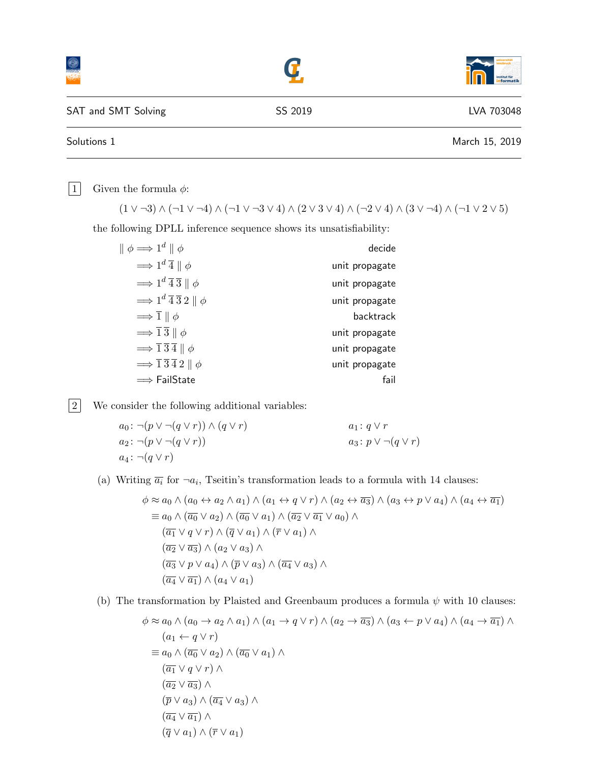|                     |         | institut für<br>informatik |
|---------------------|---------|----------------------------|
| SAT and SMT Solving | SS 2019 | LVA 703048                 |
| Solutions 1         |         | March 15, 2019             |

| 1 Given the formula  $\phi$ :

 $(1 \vee \neg 3) \wedge (\neg 1 \vee \neg 4) \wedge (\neg 1 \vee \neg 3 \vee 4) \wedge (2 \vee 3 \vee 4) \wedge (\neg 2 \vee 4) \wedge (3 \vee \neg 4) \wedge (\neg 1 \vee 2 \vee 5)$ 

the following DPLL inference sequence shows its unsatisfiability:

| $\parallel \phi \Longrightarrow 1^d \parallel \phi$                       | decide         |
|---------------------------------------------------------------------------|----------------|
| $\implies$ 1 <sup>d</sup> $\overline{4} \parallel \phi$                   | unit propagate |
| $\implies$ 1 <sup>d</sup> $\overline{4}$ $\overline{3}$    $\phi$         | unit propagate |
| $\Rightarrow 1^d \overline{4} \overline{3} 2 \parallel \phi$              | unit propagate |
| $\Rightarrow$ $\overline{1} \parallel \phi$                               | backtrack      |
| $\Rightarrow$ $\overline{1}\,\overline{3}\parallel\phi$                   | unit propagate |
| $\Rightarrow \overline{1}\,\overline{3}\,\overline{4}\parallel \phi$      | unit propagate |
| $\Rightarrow$ $\overline{1}\,\overline{3}\,\overline{4}\,2\parallel \phi$ | unit propagate |
| $\implies$ FailState                                                      | fail           |

2 We consider the following additional variables:

 $a_0 : \neg(p \vee \neg(q \vee r)) \wedge (q \vee r)$ <br>  $a_2 : \neg(p \vee \neg(q \vee r))$ <br>  $a_3 : p \vee \neg(q \vee r)$ <br>  $a_3 : p \vee \neg(q \vee r)$  $a_2$ : ¬ $(p \vee \neg(q \vee r))$  $a_4$ : ¬ $(q \vee r)$ 

(a) Writing  $\overline{a_i}$  for  $\neg a_i$ , Tseitin's transformation leads to a formula with 14 clauses:

$$
\phi \approx a_0 \land (a_0 \leftrightarrow a_2 \land a_1) \land (a_1 \leftrightarrow q \lor r) \land (a_2 \leftrightarrow \overline{a_3}) \land (a_3 \leftrightarrow p \lor a_4) \land (a_4 \leftrightarrow \overline{a_1})
$$
  
\n
$$
\equiv a_0 \land (\overline{a_0} \lor a_2) \land (\overline{a_0} \lor a_1) \land (\overline{a_2} \lor \overline{a_1} \lor a_0) \land
$$
  
\n
$$
(\overline{a_1} \lor q \lor r) \land (\overline{q} \lor a_1) \land (\overline{r} \lor a_1) \land
$$
  
\n
$$
(\overline{a_2} \lor \overline{a_3}) \land (a_2 \lor a_3) \land
$$
  
\n
$$
(\overline{a_3} \lor p \lor a_4) \land (\overline{p} \lor a_3) \land (\overline{a_4} \lor a_3) \land
$$
  
\n
$$
(\overline{a_4} \lor \overline{a_1}) \land (a_4 \lor a_1)
$$

(b) The transformation by Plaisted and Greenbaum produces a formula  $\psi$  with 10 clauses:

$$
\phi \approx a_0 \land (a_0 \to a_2 \land a_1) \land (a_1 \to q \lor r) \land (a_2 \to \overline{a_3}) \land (a_3 \leftarrow p \lor a_4) \land (a_4 \to \overline{a_1}) \land (a_1 \leftarrow q \lor r) \equiv a_0 \land (\overline{a_0} \lor a_2) \land (\overline{a_0} \lor a_1) \land (\overline{a_1} \lor q \lor r) \land (\overline{a_2} \lor \overline{a_3}) \land (\overline{p} \lor a_3) \land (\overline{a_4} \lor a_3) \land (\overline{q} \lor a_1) \land (\overline{r} \lor a_1)
$$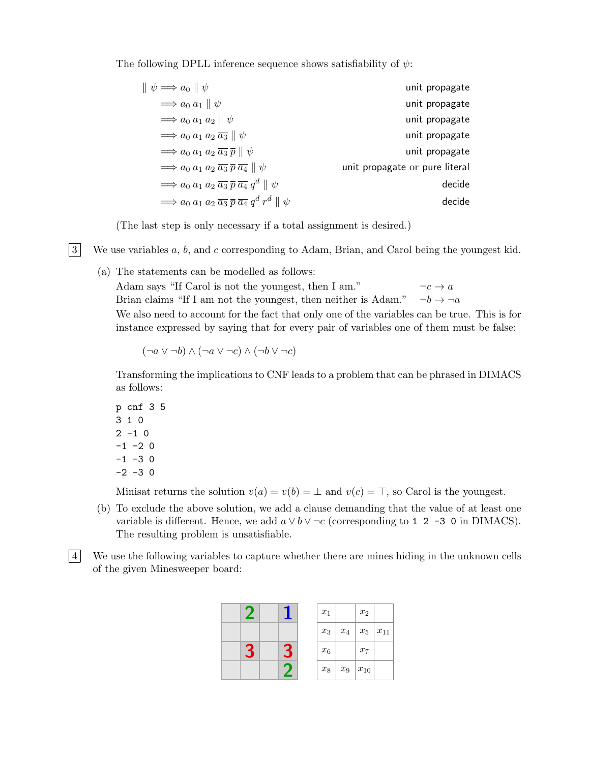The following DPLL inference sequence shows satisfiability of  $\psi$ :

| unit propagate                 | $\ \psi\rightleftharpoons a_0\ \psi\ $                                                      |
|--------------------------------|---------------------------------------------------------------------------------------------|
| unit propagate                 | $\Rightarrow a_0 a_1 \parallel \psi$                                                        |
| unit propagate                 | $\Rightarrow a_0 a_1 a_2 \parallel \psi$                                                    |
| unit propagate                 | $\Rightarrow a_0 a_1 a_2 \overline{a_3} \parallel \psi$                                     |
| unit propagate                 | $\Rightarrow a_0 a_1 a_2 \overline{a_3} \overline{p} \parallel \psi$                        |
| unit propagate or pure literal | $\Rightarrow a_0 a_1 a_2 \overline{a_3} \overline{p} \overline{a_4} \parallel \psi$         |
| decide                         | $\Rightarrow a_0 a_1 a_2 \overline{a_3} \overline{p} \overline{a_4} q^d \parallel \psi$     |
| decide                         | $\Rightarrow a_0 a_1 a_2 \overline{a_3} \overline{p} \overline{a_4} q^d r^d \parallel \psi$ |

(The last step is only necessary if a total assignment is desired.)

 $3$  We use variables a, b, and c corresponding to Adam, Brian, and Carol being the youngest kid.

(a) The statements can be modelled as follows:

Adam says "If Carol is not the youngest, then I am."  $\neg c \rightarrow a$ Brian claims "If I am not the youngest, then neither is Adam."  $\neg b \rightarrow \neg a$ We also need to account for the fact that only one of the variables can be true. This is for instance expressed by saying that for every pair of variables one of them must be false:

$$
(\neg a \vee \neg b) \wedge (\neg a \vee \neg c) \wedge (\neg b \vee \neg c)
$$

Transforming the implications to CNF leads to a problem that can be phrased in DIMACS as follows:

p cnf 3 5 3 1 0  $2 - 1 0$  $-1$   $-2$  0  $-1$   $-3$  0  $-2 -3 0$ 

Minisat returns the solution  $v(a) = v(b) = \perp$  and  $v(c) = \top$ , so Carol is the youngest.

- (b) To exclude the above solution, we add a clause demanding that the value of at least one variable is different. Hence, we add  $a \vee b \vee \neg c$  (corresponding to 1 2 -3 0 in DIMACS). The resulting problem is unsatisfiable.
- 4 We use the following variables to capture whether there are mines hiding in the unknown cells of the given Minesweeper board: